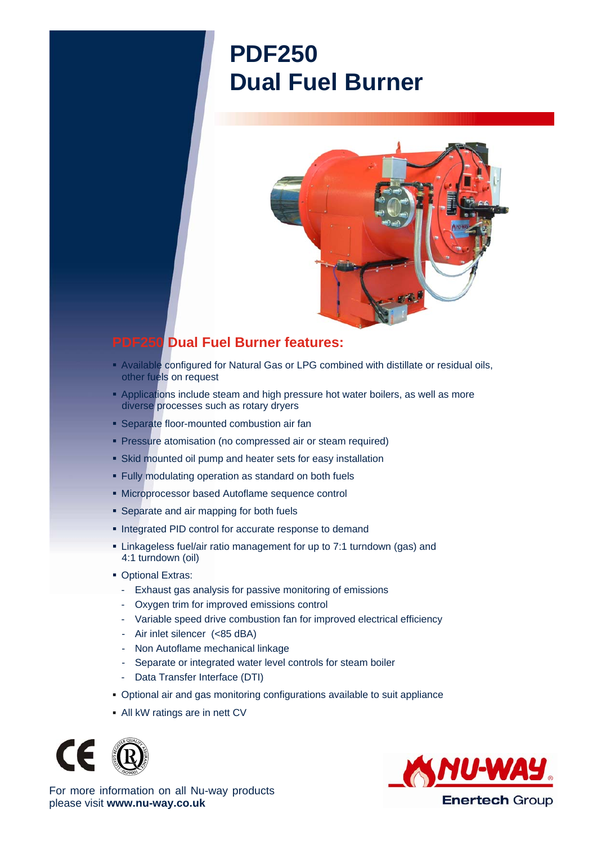## **PDF250 Dual Fuel Burner**



## **PDF250 Dual Fuel Burner features:**

- Available configured for Natural Gas or LPG combined with distillate or residual oils, other fuels on request
- **Applications include steam and high pressure hot water boilers, as well as more** diverse processes such as rotary dryers
- **Separate floor-mounted combustion air fan**
- **Pressure atomisation (no compressed air or steam required)**
- Skid mounted oil pump and heater sets for easy installation
- Fully modulating operation as standard on both fuels
- Microprocessor based Autoflame sequence control
- **Separate and air mapping for both fuels**
- **Integrated PID control for accurate response to demand**
- Linkageless fuel/air ratio management for up to 7:1 turndown (gas) and 4:1 turndown (oil)
- **Optional Extras:** 
	- Exhaust gas analysis for passive monitoring of emissions
	- Oxygen trim for improved emissions control
	- Variable speed drive combustion fan for improved electrical efficiency
	- Air inlet silencer (<85 dBA)
	- Non Autoflame mechanical linkage
	- Separate or integrated water level controls for steam boiler
	- Data Transfer Interface (DTI)
- Optional air and gas monitoring configurations available to suit appliance
- All kW ratings are in nett CV





For more information on all Nu-way products please visit **www.nu-way.co.uk**